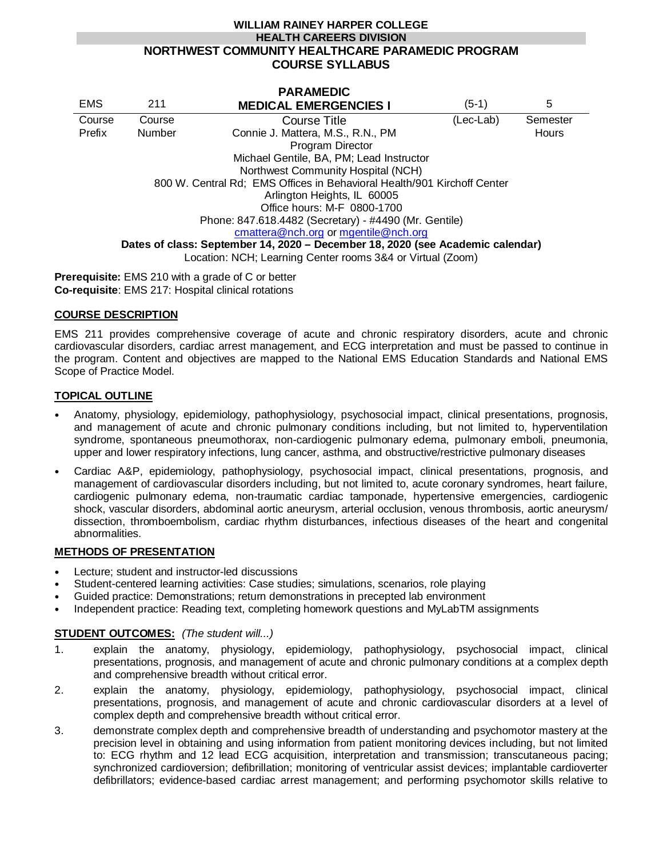### **WILLIAM RAINEY HARPER COLLEGE HEALTH CAREERS DIVISION NORTHWEST COMMUNITY HEALTHCARE PARAMEDIC PROGRAM COURSE SYLLABUS**

|                                                                                |               | <b>PARAMEDIC</b>                         |           |          |
|--------------------------------------------------------------------------------|---------------|------------------------------------------|-----------|----------|
| <b>EMS</b>                                                                     | 211           | <b>MEDICAL EMERGENCIES I</b>             | (5-1)     | 5        |
| Course                                                                         | Course        | Course Title                             | (Lec-Lab) | Semester |
| Prefix                                                                         | <b>Number</b> | Connie J. Mattera, M.S., R.N., PM        |           | Hours    |
|                                                                                |               | Program Director                         |           |          |
|                                                                                |               | Michael Gentile, BA, PM; Lead Instructor |           |          |
| Northwest Community Hospital (NCH)                                             |               |                                          |           |          |
| 800 W. Central Rd; EMS Offices in Behavioral Health/901 Kirchoff Center        |               |                                          |           |          |
| Arlington Heights, IL 60005                                                    |               |                                          |           |          |
| Office hours: M-F 0800-1700                                                    |               |                                          |           |          |
| Phone: 847.618.4482 (Secretary) - #4490 (Mr. Gentile)                          |               |                                          |           |          |
| cmattera@nch.org or mgentile@nch.org                                           |               |                                          |           |          |
| Dates of class: September 14, 2020 - December 18, 2020 (see Academic calendar) |               |                                          |           |          |
| Location: NCH; Learning Center rooms 3&4 or Virtual (Zoom)                     |               |                                          |           |          |
|                                                                                |               |                                          |           |          |

**Prerequisite:** EMS 210 with a grade of C or better **Co-requisite**: EMS 217: Hospital clinical rotations

### **COURSE DESCRIPTION**

EMS 211 provides comprehensive coverage of acute and chronic respiratory disorders, acute and chronic cardiovascular disorders, cardiac arrest management, and ECG interpretation and must be passed to continue in the program. Content and objectives are mapped to the National EMS Education Standards and National EMS Scope of Practice Model.

### **TOPICAL OUTLINE**

- Anatomy, physiology, epidemiology, pathophysiology, psychosocial impact, clinical presentations, prognosis, and management of acute and chronic pulmonary conditions including, but not limited to, hyperventilation syndrome, spontaneous pneumothorax, non-cardiogenic pulmonary edema, pulmonary emboli, pneumonia, upper and lower respiratory infections, lung cancer, asthma, and obstructive/restrictive pulmonary diseases
- Cardiac A&P, epidemiology, pathophysiology, psychosocial impact, clinical presentations, prognosis, and management of cardiovascular disorders including, but not limited to, acute coronary syndromes, heart failure, cardiogenic pulmonary edema, non-traumatic cardiac tamponade, hypertensive emergencies, cardiogenic shock, vascular disorders, abdominal aortic aneurysm, arterial occlusion, venous thrombosis, aortic aneurysm/ dissection, thromboembolism, cardiac rhythm disturbances, infectious diseases of the heart and congenital abnormalities.

#### **METHODS OF PRESENTATION**

- Lecture; student and instructor-led discussions
- Student-centered learning activities: Case studies; simulations, scenarios, role playing
- Guided practice: Demonstrations; return demonstrations in precepted lab environment
- Independent practice: Reading text, completing homework questions and MyLabTM assignments

### **STUDENT OUTCOMES:** *(The student will...)*

- 1. explain the anatomy, physiology, epidemiology, pathophysiology, psychosocial impact, clinical presentations, prognosis, and management of acute and chronic pulmonary conditions at a complex depth and comprehensive breadth without critical error.
- 2. explain the anatomy, physiology, epidemiology, pathophysiology, psychosocial impact, clinical presentations, prognosis, and management of acute and chronic cardiovascular disorders at a level of complex depth and comprehensive breadth without critical error.
- 3. demonstrate complex depth and comprehensive breadth of understanding and psychomotor mastery at the precision level in obtaining and using information from patient monitoring devices including, but not limited to: ECG rhythm and 12 lead ECG acquisition, interpretation and transmission; transcutaneous pacing; synchronized cardioversion; defibrillation; monitoring of ventricular assist devices; implantable cardioverter defibrillators; evidence-based cardiac arrest management; and performing psychomotor skills relative to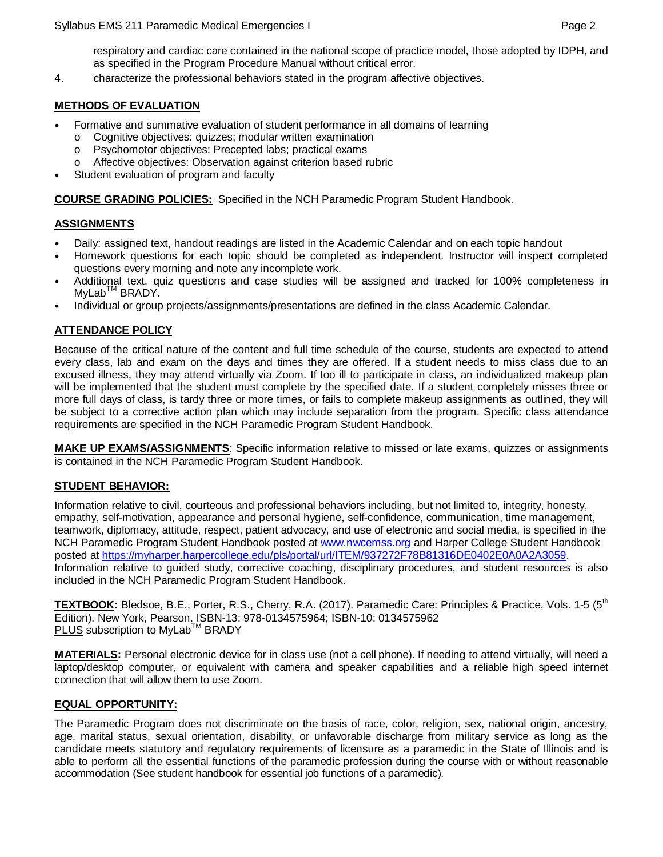respiratory and cardiac care contained in the national scope of practice model, those adopted by IDPH, and as specified in the Program Procedure Manual without critical error.

4. characterize the professional behaviors stated in the program affective objectives.

### **METHODS OF EVALUATION**

- Formative and summative evaluation of student performance in all domains of learning o Cognitive objectives: quizzes; modular written examination<br>
o Psychomotor objectives: Precepted labs: practical exams
	- Psychomotor objectives: Precepted labs; practical exams
	- o Affective objectives: Observation against criterion based rubric
- Student evaluation of program and faculty

**COURSE GRADING POLICIES:** Specified in the NCH Paramedic Program Student Handbook.

## **ASSIGNMENTS**

- Daily: assigned text, handout readings are listed in the Academic Calendar and on each topic handout
- Homework questions for each topic should be completed as independent. Instructor will inspect completed questions every morning and note any incomplete work.
- Additional text, quiz questions and case studies will be assigned and tracked for 100% completeness in MyLab<sup>™</sup> BRADY.
- Individual or group projects/assignments/presentations are defined in the class Academic Calendar.

# **ATTENDANCE POLICY**

Because of the critical nature of the content and full time schedule of the course, students are expected to attend every class, lab and exam on the days and times they are offered. If a student needs to miss class due to an excused illness, they may attend virtually via Zoom. If too ill to participate in class, an individualized makeup plan will be implemented that the student must complete by the specified date. If a student completely misses three or more full days of class, is tardy three or more times, or fails to complete makeup assignments as outlined, they will be subject to a corrective action plan which may include separation from the program. Specific class attendance requirements are specified in the NCH Paramedic Program Student Handbook.

**MAKE UP EXAMS/ASSIGNMENTS**: Specific information relative to missed or late exams, quizzes or assignments is contained in the NCH Paramedic Program Student Handbook.

### **STUDENT BEHAVIOR:**

Information relative to civil, courteous and professional behaviors including, but not limited to, integrity, honesty, empathy, self-motivation, appearance and personal hygiene, self-confidence, communication, time management, teamwork, diplomacy, attitude, respect, patient advocacy, and use of electronic and social media, is specified in the NCH Paramedic Program Student Handbook posted at [www.nwcemss.org](http://www.nwcemss.org/) and Harper College Student Handbook posted at [https://myharper.harpercollege.edu/pls/portal/url/ITEM/937272F78B81316DE0402E0A0A2A3059.](https://myharper.harpercollege.edu/pls/portal/url/ITEM/937272F78B81316DE0402E0A0A2A3059) Information relative to guided study, corrective coaching, disciplinary procedures, and student resources is also included in the NCH Paramedic Program Student Handbook.

**TEXTBOOK:** Bledsoe, B.E., Porter, R.S., Cherry, R.A. (2017). Paramedic Care: Principles & Practice, Vols. 1-5 (5<sup>th</sup> Edition). New York, Pearson. ISBN-13: 978-0134575964; ISBN-10: 0134575962 **PLUS** subscription to MyLab<sup>™</sup> BRADY

**MATERIALS:** Personal electronic device for in class use (not a cell phone). If needing to attend virtually, will need a laptop/desktop computer, or equivalent with camera and speaker capabilities and a reliable high speed internet connection that will allow them to use Zoom.

# **EQUAL OPPORTUNITY:**

The Paramedic Program does not discriminate on the basis of race, color, religion, sex, national origin, ancestry, age, marital status, sexual orientation, disability, or unfavorable discharge from military service as long as the candidate meets statutory and regulatory requirements of licensure as a paramedic in the State of Illinois and is able to perform all the essential functions of the paramedic profession during the course with or without reasonable accommodation (See student handbook for essential job functions of a paramedic).